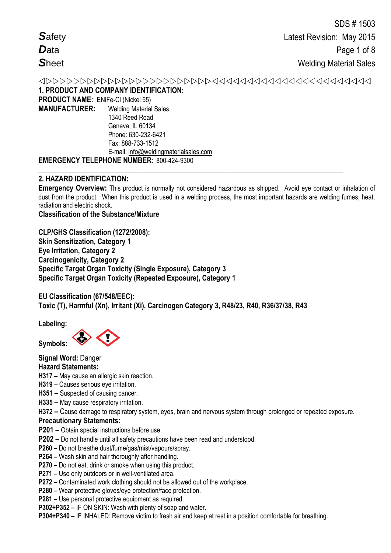**1. PRODUCT AND COMPANY IDENTIFICATION:**

**PRODUCT NAME:** ENiFe-Cl (Nickel 55) **MANUFACTURER:** Welding Material Sales 1340 Reed Road Geneva, IL 60134 Phone: 630-232-6421

Fax: 888-733-1512 E-mail: info@weldingmaterialsales.com

# **EMERGENCY TELEPHONE NUMBER**: 800-424-9300

# **2. HAZARD IDENTIFICATION:**

**Emergency Overview:** This product is normally not considered hazardous as shipped. Avoid eye contact or inhalation of dust from the product. When this product is used in a welding process, the most important hazards are welding fumes, heat, radiation and electric shock.

**\_\_\_\_\_\_\_\_\_\_\_\_\_\_\_\_\_\_\_\_\_\_\_\_\_\_\_\_\_\_\_\_\_\_\_\_\_\_\_\_\_\_\_\_\_\_\_\_\_\_\_\_\_\_\_\_\_\_\_\_\_\_\_\_\_\_\_\_\_\_\_\_\_\_\_\_\_\_\_\_\_\_\_\_**

**Classification of the Substance/Mixture**

**CLP/GHS Classification (1272/2008): Skin Sensitization, Category 1 Eye Irritation, Category 2 Carcinogenicity, Category 2 Specific Target Organ Toxicity (Single Exposure), Category 3 Specific Target Organ Toxicity (Repeated Exposure), Category 1** 

**EU Classification (67/548/EEC): Toxic (T), Harmful (Xn), Irritant (Xi), Carcinogen Category 3, R48/23, R40, R36/37/38, R43** 

**Labeling:** 

**Symbols:** 

**Signal Word:** Danger

# **Hazard Statements:**

- **H317 –** May cause an allergic skin reaction.
- **H319 –** Causes serious eye irritation.
- **H351 –** Suspected of causing cancer.
- **H335 –** May cause respiratory irritation.

**H372 –** Cause damage to respiratory system, eyes, brain and nervous system through prolonged or repeated exposure.

# **Precautionary Statements:**

- **P201 –** Obtain special instructions before use.
- **P202 –** Do not handle until all safety precautions have been read and understood.
- **P260 –** Do not breathe dust/fume/gas/mist/vapours/spray.
- **P264 –** Wash skin and hair thoroughly after handling.
- **P270 –** Do not eat, drink or smoke when using this product.
- **P271 –** Use only outdoors or in well-ventilated area.
- **P272 –** Contaminated work clothing should not be allowed out of the workplace.
- **P280 –** Wear protective gloves/eye protection/face protection.
- **P281 –** Use personal protective equipment as required.
- **P302+P352 –** IF ON SKIN: Wash with plenty of soap and water.

**P304+P340 –** IF INHALED: Remove victim to fresh air and keep at rest in a position comfortable for breathing.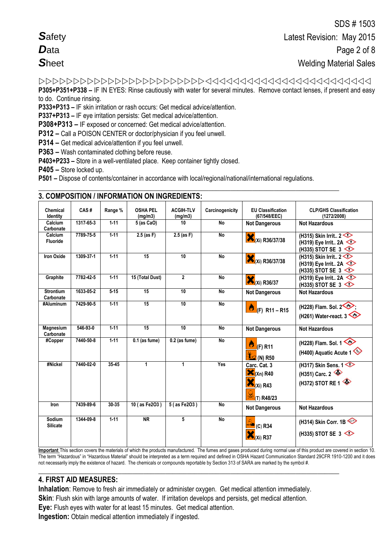**P305+P351+P338 –** IF IN EYES: Rinse cautiously with water for several minutes. Remove contact lenses, if present and easy

to do. Continue rinsing.

**P333+P313 –** IF skin irritation or rash occurs: Get medical advice/attention.

**P337+P313 –** IF eye irritation persists: Get medical advice/attention.

**P308+P313 –** IF exposed or concerned: Get medical advice/attention.

**P312 –** Call a POISON CENTER or doctor/physician if you feel unwell.

**P314 –** Get medical advice/attention if you feel unwell.

**P363 –** Wash contaminated clothing before reuse.

**P403+P233 –** Store in a well-ventilated place. Keep container tightly closed.

**P405 –** Store locked up.

**P501 –** Dispose of contents/container in accordance with local/regional/national/international regulations.

| Chemical<br>Identity          | CAS#      | Range %  | <b>OSHA PEL</b><br>(mq/m3) | <b>ACGIH-TLV</b><br>(mg/m3) | Carcinogenicity | <b>EU Classification</b><br>(67/548/EEC)                             | <b>CLP/GHS Classification</b><br>(1272/2008)                             |
|-------------------------------|-----------|----------|----------------------------|-----------------------------|-----------------|----------------------------------------------------------------------|--------------------------------------------------------------------------|
| Calcium<br>Carbonate          | 1317-65-3 | $1 - 11$ | 5 (as CaO)                 | 10                          | <b>No</b>       | <b>Not Dangerous</b>                                                 | <b>Not Hazardous</b>                                                     |
| Calcium<br><b>Fluoride</b>    | 7789-75-5 | $1-11$   | $2.5$ (as F)               | $2.5$ (as F)                | <b>No</b>       | (Xi) R36/37/38                                                       | (H315) Skin Irrit $2 \leq$<br>(H319) Eye Irrit 2A<br>(H335) STOT SE 3    |
| <b>Iron Oxide</b>             | 1309-37-1 | $1-11$   | 15                         | 10                          | <b>No</b>       | (Xi) R36/37/38                                                       | (H315) Skin Irrit $2 \leq$<br>(H319) Eye Irrit 2A<br>(H335) STOT SE 3    |
| Graphite                      | 7782-42-5 | $1 - 11$ | 15 (Total Dust)            | $\overline{2}$              | No              | $X_i$ (Xi) R36/37                                                    | (H319) Eye Irrit 2A $\diamond$<br>(H335) STOT SE 3                       |
| <b>Strontium</b><br>Carbonate | 1633-05-2 | $5 - 15$ | 15                         | 10                          | No              | <b>Not Dangerous</b>                                                 | <b>Not Hazardous</b>                                                     |
| #Aluminum                     | 7429-90-5 | $1 - 11$ | 15                         | 10                          | <b>No</b>       | $\bigotimes$ (F) R11 – R15                                           | (H228) Flam. Sol. 2<br>(H261) Water-react. $3 \leq 2$                    |
| Magnesium<br>Carbonate        | 546-93-0  | $1 - 11$ | 15                         | 10                          | <b>No</b>       | <b>Not Dangerous</b>                                                 | <b>Not Hazardous</b>                                                     |
| #Copper                       | 7440-50-8 | $1 - 11$ | $0.1$ (as fume)            | $0.2$ (as fume)             | <b>No</b>       | Ö<br>$(F)$ R11<br>$\frac{M}{M}$ (N) R50                              | (H228) Flam. Sol. 1<br>(H400) Aquatic Acute 1                            |
| #Nickel                       | 7440-02-0 | $35-45$  | $\mathbf{1}$               | 1                           | Yes             | Carc. Cat. 3<br>$\mathbf{X}_{(Xn)R40}$<br>$N(x_i)$ R43<br>(T) R48/23 | (H317) Skin Sens. $1 \diamondsuit$<br>(H351) Carc. 2<br>(H372) STOT RE 1 |
| Iron                          | 7439-89-6 | 30-35    | 10 (as Fe2O3)              | 5 (as Fe2O3)                | <b>No</b>       | <b>Not Dangerous</b>                                                 | <b>Not Hazardous</b>                                                     |
| Sodium<br><b>Silicate</b>     | 1344-09-8 | $1 - 11$ | <b>NR</b>                  | 5                           | <b>No</b>       | $(C)$ R34<br><b>Xi) R37</b>                                          | (H314) Skin Corr. 1B<br>(H335) STOT SE 3                                 |

### **\_\_\_\_\_\_\_\_\_\_\_\_\_\_\_\_\_\_\_\_\_\_\_\_\_\_\_\_\_\_\_\_\_\_\_\_\_\_\_\_\_\_\_\_\_\_\_\_\_\_\_\_\_\_\_\_\_\_\_\_\_\_\_\_\_\_\_\_\_\_\_\_\_\_\_\_\_\_\_\_\_\_\_ 3. COMPOSITION / INFORMATION ON INGREDIENTS:**

**Important** This section covers the materials of which the products manufactured. The fumes and gases produced during normal use of this product are covered in section 10. The term "Hazardous" in "Hazardous Material" should be interpreted as a term required and defined in OSHA Hazard Communication Standard 29CFR 1910-1200 and it does not necessarily imply the existence of hazard. The chemicals or compounds reportable by Section 313 of SARA are marked by the symbol #. **\_\_\_\_\_\_\_\_\_\_\_\_\_\_\_\_\_\_\_\_\_\_\_\_\_\_\_\_\_\_\_\_\_\_\_\_\_\_\_\_\_\_\_\_\_\_\_\_\_\_\_\_\_\_\_\_\_\_\_\_\_\_\_\_\_\_\_\_\_\_\_\_\_\_\_\_\_\_\_\_\_\_\_**

# **4. FIRST AID MEASURES:**

**Inhalation**: Remove to fresh air immediately or administer oxygen. Get medical attention immediately.

**Skin**: Flush skin with large amounts of water. If irritation develops and persists, get medical attention.

**Eye:** Flush eyes with water for at least 15 minutes. Get medical attention.

**Ingestion:** Obtain medical attention immediately if ingested.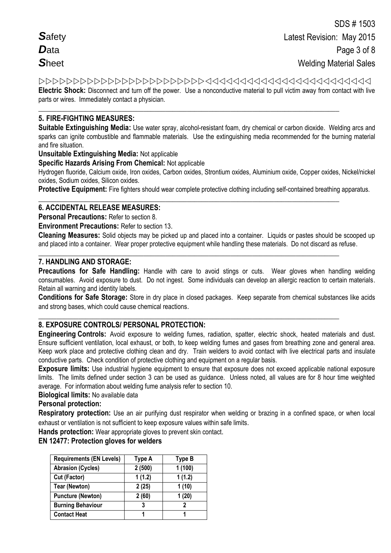Safety  $\mathbf{D}_{\text{ata}}$ **Sheet** 

Electric Shock: Disconnect and turn off the power. Use a nonconductive material to pull victim away from contact with live parts or wires. Immediately contact a physician.

# **5. FIRE-FIGHTING MEASURES:**

Suitable Extinguishing Media: Use water spray, alcohol-resistant foam, dry chemical or carbon dioxide. Welding arcs and sparks can ignite combustible and flammable materials. Use the extinguishing media recommended for the burning material and fire situation.

### **Unsuitable Extinguishing Media: Not applicable**

**Specific Hazards Arising From Chemical: Not applicable** 

Hydrogen fluoride, Calcium oxide, Iron oxides, Carbon oxides, Strontium oxides, Aluminium oxide, Copper oxides, Nickel/nickel oxides, Sodium oxides, Silicon oxides.

**Protective Equipment:** Fire fighters should wear complete protective clothing including self-contained breathing apparatus.

# **6. ACCIDENTAL RELEASE MEASURES:**

**Personal Precautions: Refer to section 8** 

**Environment Precautions: Refer to section 13.** 

Cleaning Measures: Solid objects may be picked up and placed into a container. Liquids or pastes should be scooped up and placed into a container. Wear proper protective equipment while handling these materials. Do not discard as refuse.

### 7. HANDLING AND STORAGE:

Precautions for Safe Handling: Handle with care to avoid stings or cuts. Wear gloves when handling welding consumables. Avoid exposure to dust. Do not ingest. Some individuals can develop an allergic reaction to certain materials. Retain all warning and identity labels.

Conditions for Safe Storage: Store in dry place in closed packages. Keep separate from chemical substances like acids and strong bases, which could cause chemical reactions.

# 8. EXPOSURE CONTROLS/ PERSONAL PROTECTION:

Engineering Controls: Avoid exposure to welding fumes, radiation, spatter, electric shock, heated materials and dust. Ensure sufficient ventilation, local exhaust, or both, to keep welding fumes and gases from breathing zone and general area. Keep work place and protective clothing clean and dry. Train welders to avoid contact with live electrical parts and insulate conductive parts. Check condition of protective clothing and equipment on a regular basis.

Exposure limits: Use industrial hygiene equipment to ensure that exposure does not exceed applicable national exposure limits. The limits defined under section 3 can be used as quidance. Unless noted, all values are for 8 hour time weighted average. For information about welding fume analysis refer to section 10.

Biological limits: No available data

### **Personal protection:**

Respiratory protection: Use an air purifying dust respirator when welding or brazing in a confined space, or when local exhaust or ventilation is not sufficient to keep exposure values within safe limits.

Hands protection: Wear appropriate gloves to prevent skin contact.

### **EN 12477: Protection gloves for welders**

| <b>Requirements (EN Levels)</b> | Type A | Type B |
|---------------------------------|--------|--------|
| <b>Abrasion (Cycles)</b>        | 2(500) | 1(100) |
| Cut (Factor)                    | 1(1.2) | 1(1.2) |
| <b>Tear (Newton)</b>            | 2(25)  | 1(10)  |
| <b>Puncture (Newton)</b>        | 2(60)  | 1(20)  |
| <b>Burning Behaviour</b>        | 3      | 2      |
| <b>Contact Heat</b>             |        |        |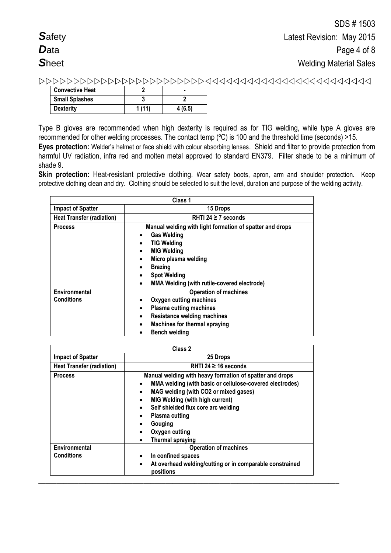| <b>Convective Heat</b> |       |        |
|------------------------|-------|--------|
| <b>Small Splashes</b>  |       |        |
| <b>Dexterity</b>       | 1(11) | 4(6.5) |

Type B gloves are recommended when high dexterity is required as for TIG welding, while type A gloves are recommended for other welding processes. The contact temp (ºC) is 100 and the threshold time (seconds) >15. **Eyes protection:** Welder's helmet or face shield with colour absorbing lenses. Shield and filter to provide protection from harmful UV radiation, infra red and molten metal approved to standard EN379. Filter shade to be a minimum of shade 9.

**Skin protection:** Heat-resistant protective clothing. Wear safety boots, apron, arm and shoulder protection. Keep protective clothing clean and dry. Clothing should be selected to suit the level, duration and purpose of the welding activity.

|                                    | Class 1                                                                                                                                                                                                                                                                                       |  |  |
|------------------------------------|-----------------------------------------------------------------------------------------------------------------------------------------------------------------------------------------------------------------------------------------------------------------------------------------------|--|--|
| <b>Impact of Spatter</b>           | 15 Drops                                                                                                                                                                                                                                                                                      |  |  |
| <b>Heat Transfer (radiation)</b>   | RHTI 24 $\geq$ 7 seconds                                                                                                                                                                                                                                                                      |  |  |
| <b>Process</b>                     | Manual welding with light formation of spatter and drops<br><b>Gas Welding</b><br>٠<br><b>TIG Welding</b><br><b>MIG Welding</b><br>Micro plasma welding<br>$\bullet$<br><b>Brazing</b><br>$\bullet$<br><b>Spot Welding</b><br><b>MMA Welding (with rutile-covered electrode)</b><br>$\bullet$ |  |  |
| Environmental<br><b>Conditions</b> | <b>Operation of machines</b><br>Oxygen cutting machines<br>٠<br><b>Plasma cutting machines</b><br>$\bullet$<br><b>Resistance welding machines</b><br>٠<br><b>Machines for thermal spraying</b><br>$\bullet$<br><b>Bench welding</b>                                                           |  |  |

|                                               | Class 2                                                                                                                                                                                                                                                                                                           |
|-----------------------------------------------|-------------------------------------------------------------------------------------------------------------------------------------------------------------------------------------------------------------------------------------------------------------------------------------------------------------------|
| <b>Impact of Spatter</b><br>25 Drops          |                                                                                                                                                                                                                                                                                                                   |
| <b>Heat Transfer (radiation)</b>              | RHTI 24 $\geq$ 16 seconds                                                                                                                                                                                                                                                                                         |
| <b>Process</b>                                | Manual welding with heavy formation of spatter and drops<br>MMA welding (with basic or cellulose-covered electrodes)<br>$\bullet$<br>MAG welding (with CO2 or mixed gases)<br>٠<br><b>MIG Welding (with high current)</b><br>$\bullet$<br>Self shielded flux core arc welding<br>$\bullet$<br>Plasma cutting<br>٠ |
|                                               | Gouging<br>$\bullet$<br>Oxygen cutting<br><b>Thermal spraying</b><br>$\bullet$                                                                                                                                                                                                                                    |
| Environmental<br><b>Operation of machines</b> |                                                                                                                                                                                                                                                                                                                   |
| <b>Conditions</b>                             | In confined spaces<br>٠<br>At overhead welding/cutting or in comparable constrained<br>$\bullet$<br>positions                                                                                                                                                                                                     |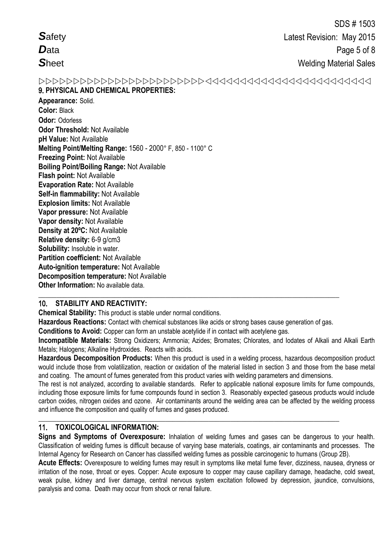**Safety**  $\mathbf{D}_{\text{ata}}$ **Sheet** 

# 9. PHYSICAL AND CHEMICAL PROPERTIES:

Appearance: Solid. **Color: Black** Odor: Odorless **Odor Threshold: Not Available** pH Value: Not Available Melting Point/Melting Range: 1560 - 2000° F, 850 - 1100° C **Freezing Point: Not Available Boiling Point/Boiling Range: Not Available** Flash point: Not Available **Evaporation Rate: Not Available** Self-in flammability: Not Available **Explosion limits: Not Available** Vapor pressure: Not Available Vapor density: Not Available Density at 20°C: Not Available Relative density: 6-9 g/cm3 Solubility: Insoluble in water. Partition coefficient: Not Available **Auto-ignition temperature: Not Available Decomposition temperature: Not Available** Other Information: No available data.

# 10. STABILITY AND REACTIVITY:

**Chemical Stability:** This product is stable under normal conditions.

Hazardous Reactions: Contact with chemical substances like acids or strong bases cause generation of gas.

Conditions to Avoid: Copper can form an unstable acetylide if in contact with acetylene gas.

Incompatible Materials: Strong Oxidizers; Ammonia; Azides; Bromates; Chlorates, and Iodates of Alkali and Alkali Earth Metals; Halogens; Alkaline Hydroxides. Reacts with acids.

Hazardous Decomposition Products: When this product is used in a welding process, hazardous decomposition product would include those from volatilization, reaction or oxidation of the material listed in section 3 and those from the base metal and coating. The amount of fumes generated from this product varies with welding parameters and dimensions.

The rest is not analyzed, according to available standards. Refer to applicable national exposure limits for fume compounds, including those exposure limits for fume compounds found in section 3. Reasonably expected gaseous products would include carbon oxides, nitrogen oxides and ozone. Air contaminants around the welding area can be affected by the welding process and influence the composition and quality of fumes and gases produced.

#### $11.$ **TOXICOLOGICAL INFORMATION:**

Signs and Symptoms of Overexposure: Inhalation of welding fumes and gases can be dangerous to your health. Classification of welding fumes is difficult because of varying base materials, coatings, air contaminants and processes. The Internal Agency for Research on Cancer has classified welding fumes as possible carcinogenic to humans (Group 2B).

Acute Effects: Overexposure to welding fumes may result in symptoms like metal fume fever, dizziness, nausea, dryness or irritation of the nose, throat or eves. Copper: Acute exposure to copper may cause capillary damage, headache, cold sweat. weak pulse, kidney and liver damage, central nervous system excitation followed by depression, jaundice, convulsions, paralysis and coma. Death may occur from shock or renal failure.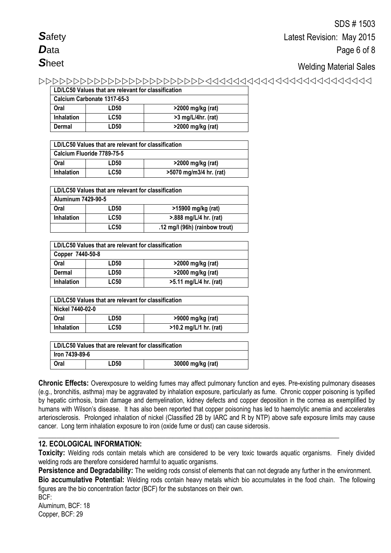# Welding Material Sales

| LD/LC50 Values that are relevant for classification |             |                      |  |  |
|-----------------------------------------------------|-------------|----------------------|--|--|
| Calcium Carbonate 1317-65-3                         |             |                      |  |  |
| Oral                                                | LD50        | >2000 mg/kg (rat)    |  |  |
| <b>Inhalation</b>                                   | <b>LC50</b> | $>3$ mg/L/4hr. (rat) |  |  |
| Dermal                                              | LD50        | >2000 mg/kg (rat)    |  |  |

| LD/LC50 Values that are relevant for classification         |      |                   |  |  |
|-------------------------------------------------------------|------|-------------------|--|--|
| Calcium Fluoride 7789-75-5                                  |      |                   |  |  |
| Oral                                                        | LD50 | >2000 mg/kg (rat) |  |  |
| <b>LC50</b><br>>5070 mg/m3/4 hr. (rat)<br><b>Inhalation</b> |      |                   |  |  |

| LD/LC50 Values that are relevant for classification |             |                                |  |  |
|-----------------------------------------------------|-------------|--------------------------------|--|--|
| Aluminum 7429-90-5                                  |             |                                |  |  |
| Oral                                                | LD50        | >15900 mg/kg (rat)             |  |  |
| <b>Inhalation</b>                                   | <b>LC50</b> | >.888 mg/L/4 hr. (rat)         |  |  |
|                                                     | <b>LC50</b> | .12 mg/l (96h) (rainbow trout) |  |  |

| LD/LC50 Values that are relevant for classification |             |                        |  |  |
|-----------------------------------------------------|-------------|------------------------|--|--|
| Copper 7440-50-8                                    |             |                        |  |  |
| Oral                                                | LD50        | >2000 mg/kg (rat)      |  |  |
| Dermal                                              | LD50        | >2000 mg/kg (rat)      |  |  |
| <b>Inhalation</b>                                   | <b>LC50</b> | >5.11 mg/L/4 hr. (rat) |  |  |

| LD/LC50 Values that are relevant for classification          |      |                   |  |  |
|--------------------------------------------------------------|------|-------------------|--|--|
| Nickel 7440-02-0                                             |      |                   |  |  |
| Oral                                                         | LD50 | >9000 mg/kg (rat) |  |  |
| <b>LC50</b><br>$>10.2$ mg/L/1 hr. (rat)<br><b>Inhalation</b> |      |                   |  |  |

| LD/LC50 Values that are relevant for classification |  |  |  |  |
|-----------------------------------------------------|--|--|--|--|
| lron 7439-89-6                                      |  |  |  |  |
| 30000 mg/kg (rat)<br>Oral<br>'.D50                  |  |  |  |  |

**Chronic Effects:** Overexposure to welding fumes may affect pulmonary function and eyes. Pre-existing pulmonary diseases (e.g., bronchitis, asthma) may be aggravated by inhalation exposure, particularly as fume. Chronic copper poisoning is typified by hepatic cirrhosis, brain damage and demyelination, kidney defects and copper deposition in the cornea as exemplified by humans with Wilson's disease. It has also been reported that copper poisoning has led to haemolytic anemia and accelerates arteriosclerosis. Prolonged inhalation of nickel (Classified 2B by IARC and R by NTP) above safe exposure limits may cause cancer. Long term inhalation exposure to iron (oxide fume or dust) can cause siderosis.

# **12. ECOLOGICAL INFORMATION:**

**Toxicity:** Welding rods contain metals which are considered to be very toxic towards aquatic organisms. Finely divided welding rods are therefore considered harmful to aquatic organisms.

**\_\_\_\_\_\_\_\_\_\_\_\_\_\_\_\_\_\_\_\_\_\_\_\_\_\_\_\_\_\_\_\_\_\_\_\_\_\_\_\_\_\_\_\_\_\_\_\_\_\_\_\_\_\_\_\_\_\_\_\_\_\_\_\_\_\_\_\_\_\_\_\_\_\_\_\_\_\_\_\_\_\_\_**

**Persistence and Degradability:** The welding rods consist of elements that can not degrade any further in the environment. **Bio accumulative Potential:** Welding rods contain heavy metals which bio accumulates in the food chain. The following figures are the bio concentration factor (BCF) for the substances on their own.

BCF: Aluminum, BCF: 18 Copper, BCF: 29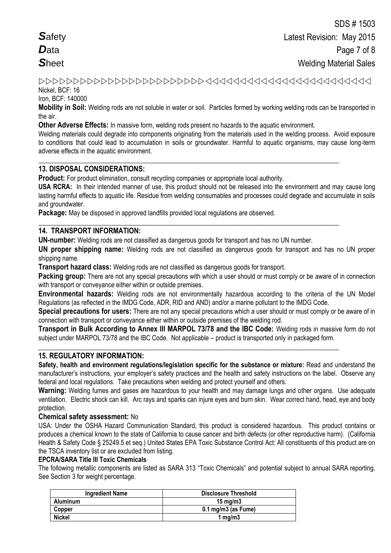# Nickel, BCF: 16

Iron, BCF: 140000

**Mobility in Soil:** Welding rods are not soluble in water or soil. Particles formed by working welding rods can be transported in the air.

**Other Adverse Effects:** In massive form, welding rods present no hazards to the aquatic environment.

**\_\_\_\_\_\_\_\_\_\_\_\_\_\_\_\_\_\_\_\_\_\_\_\_\_\_\_\_\_\_\_\_\_\_\_\_\_\_\_\_\_\_\_\_\_\_\_\_\_\_\_\_\_\_\_\_\_\_\_\_\_\_\_\_\_\_\_\_\_\_\_\_\_\_\_\_\_\_\_\_\_\_\_**

**\_\_\_\_\_\_\_\_\_\_\_\_\_\_\_\_\_\_\_\_\_\_\_\_\_\_\_\_\_\_\_\_\_\_\_\_\_\_\_\_\_\_\_\_\_\_\_\_\_\_\_\_\_\_\_\_\_\_\_\_\_\_\_\_\_\_\_\_\_\_\_\_\_\_\_\_\_\_\_\_\_\_\_**

Welding materials could degrade into components originating from the materials used in the welding process. Avoid exposure to conditions that could lead to accumulation in soils or groundwater. Harmful to aquatic organisms, may cause long-term adverse effects in the aquatic environment.

## **13. DISPOSAL CONSIDERATIONS:**

**Product:** For product elimination, consult recycling companies or appropriate local authority.

**USA RCRA:** In their intended manner of use, this product should not be released into the environment and may cause long lasting harmful effects to aquatic life. Residue from welding consumables and processes could degrade and accumulate in soils and groundwater.

**Package:** May be disposed in approved landfills provided local regulations are observed.

### **14. TRANSPORT INFORMATION:**

**UN-number:** Welding rods are not classified as dangerous goods for transport and has no UN number.

**UN proper shipping name:** Welding rods are not classified as dangerous goods for transport and has no UN proper shipping name.

**Transport hazard class:** Welding rods are not classified as dangerous goods for transport.

**Packing group:** There are not any special precautions with which a user should or must comply or be aware of in connection with transport or conveyance either within or outside premises.

**Environmental hazards:** Welding rods are not environmentally hazardous according to the criteria of the UN Model Regulations (as reflected in the IMDG Code, ADR, RID and AND) and/or a marine pollutant to the IMDG Code.

**Special precautions for users:** There are not any special precautions which a user should or must comply or be aware of in connection with transport or conveyance either within or outside premises of the welding rod.

**Transport in Bulk According to Annex III MARPOL 73/78 and the IBC Code:** Welding rods in massive form do not subject under MARPOL 73/78 and the IBC Code. Not applicable – product is transported only in packaged form.

**\_\_\_\_\_\_\_\_\_\_\_\_\_\_\_\_\_\_\_\_\_\_\_\_\_\_\_\_\_\_\_\_\_\_\_\_\_\_\_\_\_\_\_\_\_\_\_\_\_\_\_\_\_\_\_\_\_\_\_\_\_\_\_\_\_\_\_\_\_\_\_\_\_\_\_\_\_\_\_\_\_\_\_**

### **15. REGULATORY INFORMATION:**

**Safety, health and environment regulations/legislation specific for the substance or mixture:** Read and understand the manufacturer's instructions, your employer's safety practices and the health and safety instructions on the label. Observe any federal and local regulations. Take precautions when welding and protect yourself and others.

**Warning:** Welding fumes and gases are hazardous to your health and may damage lungs and other organs. Use adequate ventilation.Electric shock can kill. Arc rays and sparks can injure eyes and burn skin. Wear correct hand, head, eye and body protection.

### **Chemical safety assessment:** No

USA: Under the OSHA Hazard Communication Standard, this product is considered hazardous. This product contains or produces a chemical known to the state of California to cause cancer and birth defects (or other reproductive harm). (California Health & Safety Code § 25249.5 et seq.) United States EPA Toxic Substance Control Act: All constituents of this product are on the TSCA inventory list or are excluded from listing.

### **EPCRA/SARA Title III Toxic Chemicals**

The following metallic components are listed as SARA 313 "Toxic Chemicals" and potential subject to annual SARA reporting. See Section 3 for weight percentage.

| <b>Ingredient Name</b> | <b>Disclosure Threshold</b>    |
|------------------------|--------------------------------|
| <b>Aluminum</b>        | $15 \text{ ma/m}$              |
| Copper                 | $0.1 \text{ mg/m}$ 3 (as Fume) |
| <b>Nickel</b>          | 1 mg/m $3$                     |